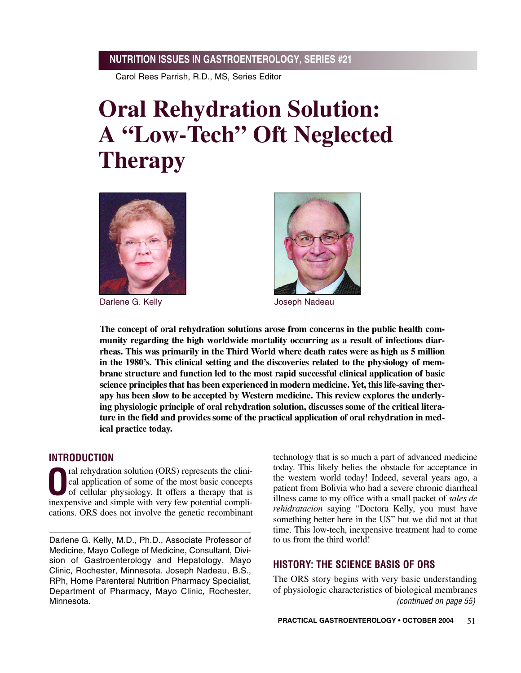Carol Rees Parrish, R.D., MS, Series Editor

# **Oral Rehydration Solution: A "Low-Tech" Oft Neglected Therapy**



Darlene G. Kelly **State Communist Contract Contract Contract Contract Contract Contract Contract Contract Contract Contract Contract Contract Contract Contract Contract Contract Contract Contract Contract Contract Contract** 



**The concept of oral rehydration solutions arose from concerns in the public health community regarding the high worldwide mortality occurring as a result of infectious diarrheas. This was primarily in the Third World where death rates were as high as 5 million in the 1980's. This clinical setting and the discoveries related to the physiology of membrane structure and function led to the most rapid successful clinical application of basic science principlesthat has been experienced in modern medicine. Yet, this life-saving therapy has been slow to be accepted by Western medicine. This review explores the underlying physiologic principle of oral rehydration solution, discusses some of the critical litera**ture in the field and provides some of the practical application of oral rehydration in med**ical practice today.** 

# **INTRODUCTION**

**O**ral rehydration solution (ORS) represents the clinical application of some of the most basic concepts of cellular physiology. It offers a therapy that is cal application of some of the most basic concepts of cellular physiology. It offers a therapy that is inexpensive and simple with very few potential complications. ORS does not involve the genetic recombinant

Darlene G. Kelly, M.D., Ph.D., Associate Professor of Medicine, Mayo College of Medicine, Consultant, Division of Gastroenterology and Hepatology, Mayo Clinic, Rochester, Minnesota. Joseph Nadeau, B.S., RPh, Home Parenteral Nutrition Pharmacy Specialist, Department of Pharmacy, Mayo Clinic, Rochester, Minnesota.

technology that is so much a part of advanced medicine today. This likely belies the obstacle for acceptance in the western world today! Indeed, several years ago, a patient from Bolivia who had a severe chronic diarrheal illness came to my office with a small packet of *sales de rehidratacion* saying "Doctora Kelly, you must have something better here in the US" but we did not at that time. This low-tech, inexpensive treatment had to come to us from the third world!

# **HISTORY: THE SCIENCE BASIS OF ORS**

The ORS story begins with very basic understanding of physiologic characteristics of biological membranes *(continued on page 55)*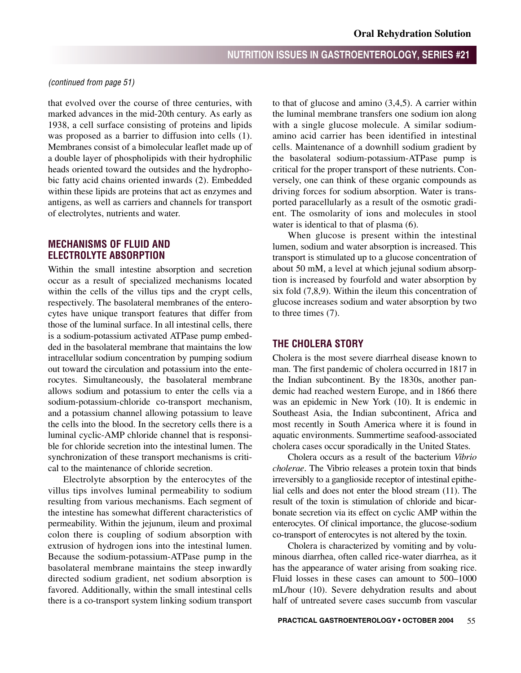#### *(continued from page 51)*

that evolved over the course of three centuries, with marked advances in the mid-20th century. As early as 1938, a cell surface consisting of proteins and lipids was proposed as a barrier to diffusion into cells (1). Membranes consist of a bimolecular leaflet made up of a double layer of phospholipids with their hydrophilic heads oriented toward the outsides and the hydrophobic fatty acid chains oriented inwards (2). Embedded within these lipids are proteins that act as enzymes and antigens, as well as carriers and channels for transport of electrolytes, nutrients and water.

# **MECHANISMS OF FLUID AND ELECTROLYTE ABSORPTION**

Within the small intestine absorption and secretion occur as a result of specialized mechanisms located within the cells of the villus tips and the crypt cells, respectively. The basolateral membranes of the enterocytes have unique transport features that differ from those of the luminal surface. In all intestinal cells, there is a sodium-potassium activated ATPase pump embedded in the basolateral membrane that maintains the low intracellular sodium concentration by pumping sodium out toward the circulation and potassium into the enterocytes. Simultaneously, the basolateral membrane allows sodium and potassium to enter the cells via a sodium-potassium-chloride co-transport mechanism, and a potassium channel allowing potassium to leave the cells into the blood. In the secretory cells there is a luminal cyclic-AMP chloride channel that is responsible for chloride secretion into the intestinal lumen. The synchronization of these transport mechanisms is critical to the maintenance of chloride secretion.

Electrolyte absorption by the enterocytes of the villus tips involves luminal permeability to sodium resulting from various mechanisms. Each segment of the intestine has somewhat different characteristics of permeability. Within the jejunum, ileum and proximal colon there is coupling of sodium absorption with extrusion of hydrogen ions into the intestinal lumen. Because the sodium-potassium-ATPase pump in the basolateral membrane maintains the steep inwardly directed sodium gradient, net sodium absorption is favored. Additionally, within the small intestinal cells there is a co-transport system linking sodium transport

to that of glucose and amino (3,4,5). A carrier within the luminal membrane transfers one sodium ion along with a single glucose molecule. A similar sodiumamino acid carrier has been identified in intestinal cells. Maintenance of a downhill sodium gradient by the basolateral sodium-potassium-ATPase pump is critical for the proper transport of these nutrients. Conversely, one can think of these organic compounds as driving forces for sodium absorption. Water is transported paracellularly as a result of the osmotic gradient. The osmolarity of ions and molecules in stool water is identical to that of plasma  $(6)$ .

When glucose is present within the intestinal lumen, sodium and water absorption is increased. This transport is stimulated up to a glucose concentration of about 50 mM, a level at which jejunal sodium absorption is increased by fourfold and water absorption by six fold (7,8,9). Within the ileum this concentration of glucose increases sodium and water absorption by two to three times (7).

## **THE CHOLERA STORY**

Cholera is the most severe diarrheal disease known to man. The first pandemic of cholera occurred in 1817 in the Indian subcontinent. By the 1830s, another pandemic had reached western Europe, and in 1866 there was an epidemic in New York (10). It is endemic in Southeast Asia, the Indian subcontinent, Africa and most recently in South America where it is found in aquatic environments. Summertime seafood-associated cholera cases occur sporadically in the United States.

Cholera occurs as a result of the bacterium *Vibrio cholerae.* The Vibrio releases a protein toxin that binds irreversibly to a ganglioside receptor of intestinal epithelial cells and does not enter the blood stream (11). The result of the toxin is stimulation of chloride and bicarbonate secretion via its effect on cyclic AMP within the enterocytes. Of clinical importance, the glucose-sodium co-transport of enterocytes is not altered by the toxin.

Cholera is characterized by vomiting and by voluminous diarrhea, often called rice-water diarrhea, as it has the appearance of water arising from soaking rice. Fluid losses in these cases can amount to 500–1000 mL/hour (10). Severe dehydration results and about half of untreated severe cases succumb from vascular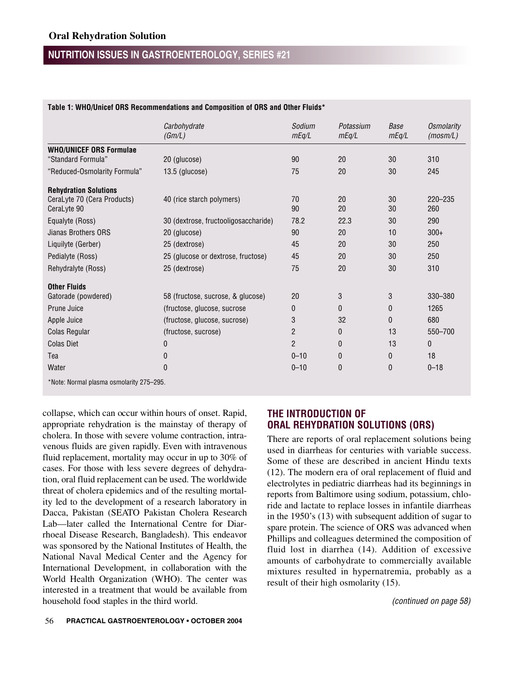|                                                      | Carbohydrate<br>(Gm/L)               | Sodium<br>mEq/L | Potassium<br>mEq/L | Base<br>mEq/L | <b>Osmolarity</b><br>(mosm/L) |
|------------------------------------------------------|--------------------------------------|-----------------|--------------------|---------------|-------------------------------|
|                                                      |                                      |                 |                    |               |                               |
| <b>WHO/UNICEF ORS Formulae</b><br>"Standard Formula" | 20 (glucose)                         | 90              | 20                 | 30            | 310                           |
| "Reduced-Osmolarity Formula"                         | 13.5 (glucose)                       | 75              | 20                 | 30            | 245                           |
| <b>Rehydration Solutions</b>                         |                                      |                 |                    |               |                               |
| CeraLyte 70 (Cera Products)<br>CeraLyte 90           | 40 (rice starch polymers)            | 70<br>90        | 20<br>20           | 30<br>30      | 220-235<br>260                |
| Equalyte (Ross)                                      | 30 (dextrose, fructooligosaccharide) | 78.2            | 22.3               | 30            | 290                           |
| Jianas Brothers ORS                                  | 20 (glucose)                         | 90              | 20                 | 10            | $300+$                        |
| Liquilyte (Gerber)                                   | 25 (dextrose)                        | 45              | 20                 | 30            | 250                           |
| Pedialyte (Ross)                                     | 25 (glucose or dextrose, fructose)   | 45              | 20                 | 30            | 250                           |
| Rehydralyte (Ross)                                   | 25 (dextrose)                        | 75              | 20                 | 30            | 310                           |
| <b>Other Fluids</b>                                  |                                      |                 |                    |               |                               |
| Gatorade (powdered)                                  | 58 (fructose, sucrose, & glucose)    | 20              | 3                  | 3             | 330-380                       |
| Prune Juice                                          | (fructose, glucose, sucrose          | $\mathbf{0}$    | 0                  | $\mathbf{0}$  | 1265                          |
| Apple Juice                                          | (fructose, glucose, sucrose)         | 3               | 32                 | 0             | 680                           |
| Colas Regular                                        | (fructose, sucrose)                  | $\overline{2}$  | 0                  | 13            | 550-700                       |
| <b>Colas Diet</b>                                    | $\mathbf{0}$                         | $\overline{c}$  | $\mathbf{0}$       | 13            | 0                             |
| Tea                                                  | 0                                    | $0 - 10$        | 0                  | 0             | 18                            |
| Water                                                | $\Omega$                             | $0 - 10$        | $\mathbf{0}$       | 0             | $0 - 18$                      |
| $*$ Nota: Narmal pleama aamalaritu 975 905           |                                      |                 |                    |               |                               |

#### **Table 1: WHO/Unicef ORS Recommendations and Composition of ORS and Other Fluids\***

\*Note: Normal plasma osmolarity 275–295.

collapse, which can occur within hours of onset. Rapid, appropriate rehydration is the mainstay of therapy of cholera. In those with severe volume contraction, intravenous fluids are given rapidly. Even with intravenous fluid replacement, mortality may occur in up to 30% of cases. For those with less severe degrees of dehydration, oral fluid replacement can be used. The worldwide threat of cholera epidemics and of the resulting mortality led to the development of a research laboratory in Dacca, Pakistan (SEATO Pakistan Cholera Research Lab—later called the International Centre for Diarrhoeal Disease Research, Bangladesh). This endeavor was sponsored by the National Institutes of Health, the National Naval Medical Center and the Agency for International Development, in collaboration with the World Health Organization (WHO). The center was interested in a treatment that would be available from household food staples in the third world.

# **THE INTRODUCTION OF ORAL REHYDRATION SOLUTIONS (ORS)**

There are reports of oral replacement solutions being used in diarrheas for centuries with variable success. Some of these are described in ancient Hindu texts (12). The modern era of oral replacement of fluid and electrolytes in pediatric diarrheas had its beginnings in reports from Baltimore using sodium, potassium, chloride and lactate to replace losses in infantile diarrheas in the 1950's (13) with subsequent addition of sugar to spare protein. The science of ORS was advanced when Phillips and colleagues determined the composition of fluid lost in diarrhea (14). Addition of excessive amounts of carbohydrate to commercially available mixtures resulted in hypernatremia, probably as a result of their high osmolarity (15).

*(continued on page 58)*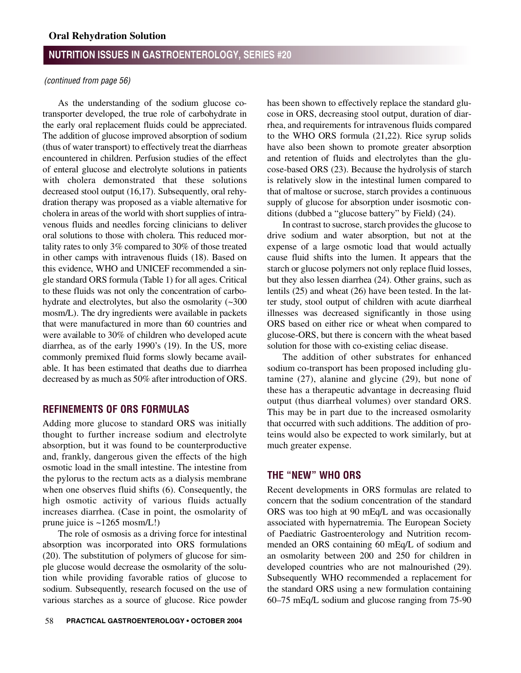### *(continued from page 56)*

As the understanding of the sodium glucose cotransporter developed, the true role of carbohydrate in the early oral replacement fluids could be appreciated. The addition of glucose improved absorption of sodium (thus of water transport) to effectively treat the diarrheas encountered in children. Perfusion studies of the effect of enteral glucose and electrolyte solutions in patients with cholera demonstrated that these solutions decreased stool output (16,17). Subsequently, oral rehydration therapy was proposed as a viable alternative for cholera in areas of the world with short supplies of intravenous fluids and needles forcing clinicians to deliver oral solutions to those with cholera. This reduced mortality rates to only  $3\%$  compared to  $30\%$  of those treated in other camps with intravenous fluids (18). Based on this evidence, WHO and UNICEF recommended a single standard ORS formula (Table 1) for all ages. Critical to these fluids was not only the concentration of carbohydrate and electrolytes, but also the osmolarity (~300 mosm/L). The dry ingredients were available in packets that were manufactured in more than 60 countries and were available to 30% of children who developed acute diarrhea, as of the early 1990's (19). In the US, more commonly premixed fluid forms slowly became available. It has been estimated that deaths due to diarrhea decreased by as much as 50% after introduction of ORS.

## **REFINEMENTS OF ORS FORMULAS**

Adding more glucose to standard ORS was initially thought to further increase sodium and electrolyte absorption, but it was found to be counterproductive and, frankly, dangerous given the effects of the high osmotic load in the small intestine. The intestine from the pylorus to the rectum acts as a dialysis membrane when one observes fluid shifts (6). Consequently, the high osmotic activity of various fluids actually increases diarrhea. (Case in point, the osmolarity of prune juice is ~1265 mosm/L!)

The role of osmosis as a driving force for intestinal absorption was incorporated into ORS formulations (20). The substitution of polymers of glucose for simple glucose would decrease the osmolarity of the solution while providing favorable ratios of glucose to sodium. Subsequently, research focused on the use of various starches as a source of glucose. Rice powder has been shown to effectively replace the standard glucose in ORS, decreasing stool output, duration of diarrhea, and requirements for intravenous fluids compared to the WHO ORS formula (21,22). Rice syrup solids have also been shown to promote greater absorption and retention of fluids and electrolytes than the glucose-based ORS (23). Because the hydrolysis of starch is relatively slow in the intestinal lumen compared to that of maltose or sucrose, starch provides a continuous supply of glucose for absorption under isosmotic conditions (dubbed a "glucose battery" by Field) (24).

In contrast to sucrose, starch provides the glucose to drive sodium and water absorption, but not at the expense of a large osmotic load that would actually cause fluid shifts into the lumen. It appears that the starch or glucose polymers not only replace fluid losses, but they also lessen diarrhea (24). Other grains, such as lentils (25) and wheat (26) have been tested. In the latter study, stool output of children with acute diarrheal illnesses was decreased significantly in those using ORS based on either rice or wheat when compared to glucose-ORS, but there is concern with the wheat based solution for those with co-existing celiac disease.

The addition of other substrates for enhanced sodium co-transport has been proposed including glutamine (27), alanine and glycine (29), but none of these has a therapeutic advantage in decreasing fluid output (thus diarrheal volumes) over standard ORS. This may be in part due to the increased osmolarity that occurred with such additions. The addition of proteins would also be expected to work similarly, but at much greater expense.

# **THE "NEW" WHO ORS**

Recent developments in ORS formulas are related to concern that the sodium concentration of the standard ORS was too high at 90 mEq/L and was occasionally associated with hypernatremia. The European Society of Paediatric Gastroenterology and Nutrition recommended an ORS containing 60 mEq/L of sodium and an osmolarity between 200 and 250 for children in developed countries who are not malnourished (29). Subsequently WHO recommended a replacement for the standard ORS using a new formulation containing 60–75 mEq/L sodium and glucose ranging from 75-90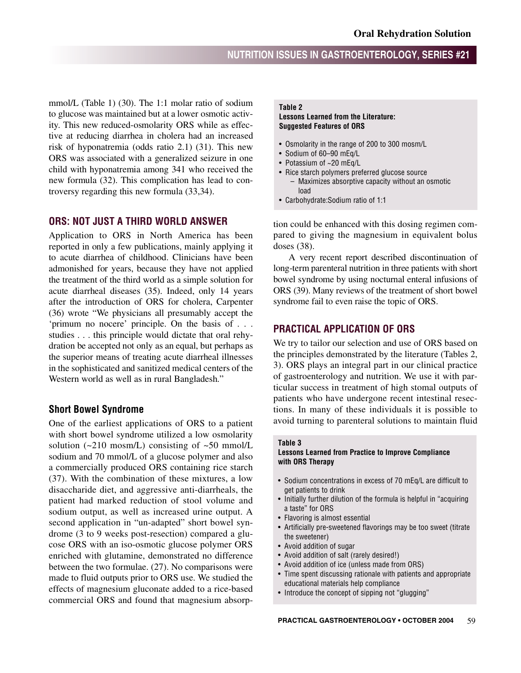mmol/L (Table 1) (30). The 1:1 molar ratio of sodium to glucose was maintained but at a lower osmotic activity. This new reduced-osmolarity ORS while as effective at reducing diarrhea in cholera had an increased risk of hyponatremia (odds ratio 2.1) (31). This new ORS was associated with a generalized seizure in one child with hyponatremia among 341 who received the new formula (32). This complication has lead to controversy regarding this new formula (33,34).

# **ORS: NOT JUST A THIRD WORLD ANSWER**

Application to ORS in North America has been reported in only a few publications, mainly applying it to acute diarrhea of childhood. Clinicians have been admonished for years, because they have not applied the treatment of the third world as a simple solution for acute diarrheal diseases (35). Indeed, only 14 years after the introduction of ORS for cholera, Carpenter (36) wrote "We physicians all presumably accept the 'primum no nocere' principle. On the basis of . . . studies . . . this principle would dictate that oral rehydration be accepted not only as an equal, but perhaps as the superior means of treating acute diarrheal illnesses in the sophisticated and sanitized medical centers of the Western world as well as in rural Bangladesh."

### **Short Bowel Syndrome**

One of the earliest applications of ORS to a patient with short bowel syndrome utilized a low osmolarity solution  $(-210 \text{ mosm/L})$  consisting of  $\sim 50 \text{ mmol/L}$ sodium and 70 mmol/L of a glucose polymer and also a commercially produced ORS containing rice starch (37). With the combination of these mixtures, a low disaccharide diet, and aggressive anti-diarrheals, the patient had marked reduction of stool volume and sodium output, as well as increased urine output. A second application in "un-adapted" short bowel syndrome (3 to 9 weeks post-resection) compared a glucose ORS with an iso-osmotic glucose polymer ORS enriched with glutamine, demonstrated no difference between the two formulae. (27). No comparisons were made to fluid outputs prior to ORS use. We studied the effects of magnesium gluconate added to a rice-based commercial ORS and found that magnesium absorp-

#### **Table 2**

#### **Lessons Learned from the Literature: Suggested Features of ORS**

- Osmolarity in the range of 200 to 300 mosm/L
- Sodium of 60–90 mEq/L
- Potassium of ~20 mEq/L
- Rice starch polymers preferred glucose source – Maximizes absorptive capacity without an osmotic load
- Carbohydrate:Sodium ratio of 1:1

tion could be enhanced with this dosing regimen compared to giving the magnesium in equivalent bolus doses (38).

A very recent report described discontinuation of long-term parenteral nutrition in three patients with short bowel syndrome by using nocturnal enteral infusions of ORS (39). Many reviews of the treatment of short bowel syndrome fail to even raise the topic of ORS.

# **PRACTICAL APPLICATION OF ORS**

We try to tailor our selection and use of ORS based on the principles demonstrated by the literature (Tables 2, 3). ORS plays an integral part in our clinical practice of gastroenterology and nutrition. We use it with particular success in treatment of high stomal outputs of patients who have undergone recent intestinal resections. In many of these individuals it is possible to avoid turning to parenteral solutions to maintain fluid

#### **Table 3**

#### **Lessons Learned from Practice to Improve Compliance with ORS Therapy**

- Sodium concentrations in excess of 70 mEq/L are difficult to get patients to drink
- Initially further dilution of the formula is helpful in "acquiring a taste" for ORS
- Flavoring is almost essential
- Artificially pre-sweetened flavorings may be too sweet (titrate the sweetener)
- Avoid addition of sugar
- Avoid addition of salt (rarely desired!)
- Avoid addition of ice (unless made from ORS)
- Time spent discussing rationale with patients and appropriate educational materials help compliance
- Introduce the concept of sipping not "glugging"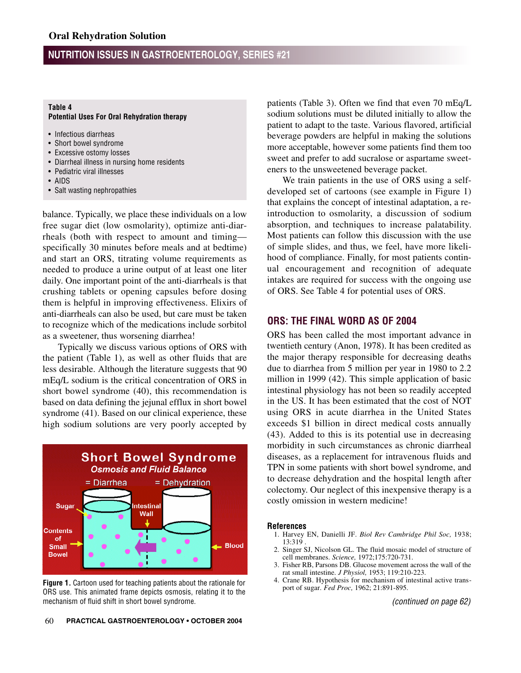#### **Table 4**

#### **Potential Uses For Oral Rehydration therapy**

- Infectious diarrheas
- Short bowel syndrome
- Excessive ostomy losses
- Diarrheal illness in nursing home residents
- Pediatric viral illnesses
- AIDS
- Salt wasting nephropathies

balance. Typically, we place these individuals on a low free sugar diet (low osmolarity), optimize anti-diarrheals (both with respect to amount and timing specifically 30 minutes before meals and at bedtime) and start an ORS, titrating volume requirements as needed to produce a urine output of at least one liter daily. One important point of the anti-diarrheals is that crushing tablets or opening capsules before dosing them is helpful in improving effectiveness. Elixirs of anti-diarrheals can also be used, but care must be taken to recognize which of the medications include sorbitol as a sweetener, thus worsening diarrhea!

Typically we discuss various options of ORS with the patient (Table 1), as well as other fluids that are less desirable. Although the literature suggests that 90 mEq/L sodium is the critical concentration of ORS in short bowel syndrome (40), this recommendation is based on data defining the jejunal efflux in short bowel syndrome  $(41)$ . Based on our clinical experience, these high sodium solutions are very poorly accepted by



**Figure 1.** Cartoon used for teaching patients about the rationale for ORS use. This animated frame depicts osmosis, relating it to the mechanism of fluid shift in short bowel syndrome.

patients (Table 3). Often we find that even 70 mEq/L sodium solutions must be diluted initially to allow the patient to adapt to the taste. Various flavored, artificial beverage powders are helpful in making the solutions more acceptable, however some patients find them too sweet and prefer to add sucralose or aspartame sweeteners to the unsweetened beverage packet.

We train patients in the use of ORS using a selfdeveloped set of cartoons (see example in Figure 1) that explains the concept of intestinal adaptation, a reintroduction to osmolarity, a discussion of sodium absorption, and techniques to increase palatability. Most patients can follow this discussion with the use of simple slides, and thus, we feel, have more likelihood of compliance. Finally, for most patients continual encouragement and recognition of adequate intakes are required for success with the ongoing use of ORS. See Table 4 for potential uses of ORS.

## **ORS: THE FINAL WORD AS OF 2004**

ORS has been called the most important advance in twentieth century (Anon, 1978). It has been credited as the major therapy responsible for decreasing deaths due to diarrhea from 5 million per year in 1980 to 2.2 million in 1999 (42). This simple application of basic intestinal physiology has not been so readily accepted in the US. It has been estimated that the cost of NOT using ORS in acute diarrhea in the United States exceeds \$1 billion in direct medical costs annually (43). Added to this is its potential use in decreasing morbidity in such circumstances as chronic diarrheal diseases, as a replacement for intravenous fluids and TPN in some patients with short bowel syndrome, and to decrease dehydration and the hospital length after colectomy. Our neglect of this inexpensive therapy is a costly omission in western medicine!

#### **References**

- 1. Harvey EN, Danielli JF. *Biol Rev Cambridge Phil Soc,* 1938; 13:319 .
- 2. Singer SJ, Nicolson GL. The fluid mosaic model of structure of cell membranes. *Science,* 1972;175:720-731.
- 3. Fisher RB, Parsons DB. Glucose movement across the wall of the rat small intestine. *J Physiol,* 1953; 119:210-223.
- 4. Crane RB. Hypothesis for mechanism of intestinal active transport of sugar. *Fed Proc,* 1962; 21:891-895.

*(continued on page 62)*